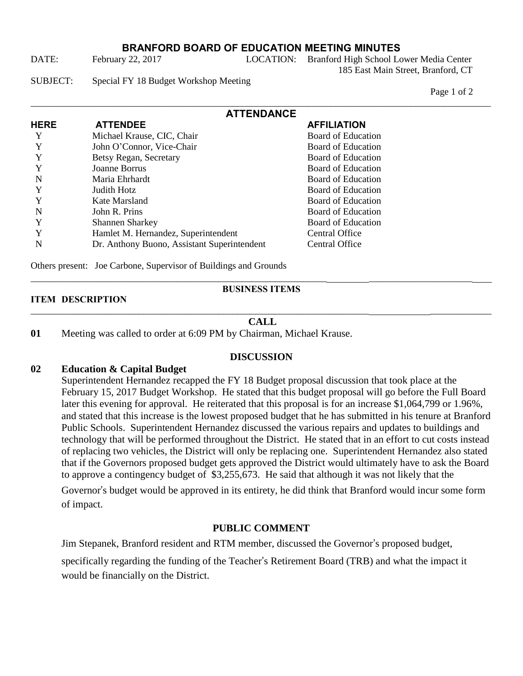## **BRANFORD BOARD OF EDUCATION MEETING MINUTES**

DATE: February 22, 2017 LOCATION: Branford High School Lower Media Center 185 East Main Street, Branford, CT

SUBJECT: Special FY 18 Budget Workshop Meeting

Page 1 of 2

| <b>ATTENDANCE</b> |                                             |                    |  |
|-------------------|---------------------------------------------|--------------------|--|
| <b>HERE</b>       | <b>ATTENDEE</b>                             | <b>AFFILIATION</b> |  |
| Y                 | Michael Krause, CIC, Chair                  | Board of Education |  |
| Y                 | John O'Connor, Vice-Chair                   | Board of Education |  |
|                   | Betsy Regan, Secretary                      | Board of Education |  |
|                   | Joanne Borrus                               | Board of Education |  |
| N                 | Maria Ehrhardt                              | Board of Education |  |
| Y                 | Judith Hotz                                 | Board of Education |  |
|                   | Kate Marsland                               | Board of Education |  |
| N                 | John R. Prins                               | Board of Education |  |
| Y                 | <b>Shannen Sharkey</b>                      | Board of Education |  |
|                   | Hamlet M. Hernandez, Superintendent         | Central Office     |  |
| N                 | Dr. Anthony Buono, Assistant Superintendent | Central Office     |  |

Others present: Joe Carbone, Supervisor of Buildings and Grounds

#### **BUSINESS ITEMS**

\_\_\_\_\_\_\_\_\_\_\_\_\_\_\_\_\_\_\_\_\_\_\_\_\_\_\_\_\_\_\_\_\_\_\_\_\_\_\_\_\_\_\_\_\_\_\_\_\_\_\_\_\_\_\_\_\_\_\_\_\_\_\_ \_\_\_\_\_\_\_\_\_\_\_\_\_\_\_\_\_\_\_\_\_\_

#### **ITEM DESCRIPTION**

#### \_\_\_\_\_\_\_\_\_\_\_\_\_\_\_\_\_\_\_\_\_\_\_\_\_\_\_\_\_\_\_\_\_\_\_\_\_\_\_\_\_\_\_\_\_\_\_\_\_\_\_\_\_\_\_\_\_\_\_\_\_\_\_\_\_\_\_\_\_\_\_\_ \_\_\_\_\_\_\_\_\_\_\_\_\_ **CALL**

**01** Meeting was called to order at 6:09 PM by Chairman, Michael Krause.

## **DISCUSSION**

## **02 Education & Capital Budget**

Superintendent Hernandez recapped the FY 18 Budget proposal discussion that took place at the February 15, 2017 Budget Workshop. He stated that this budget proposal will go before the Full Board later this evening for approval. He reiterated that this proposal is for an increase \$1,064,799 or 1.96%, and stated that this increase is the lowest proposed budget that he has submitted in his tenure at Branford Public Schools. Superintendent Hernandez discussed the various repairs and updates to buildings and technology that will be performed throughout the District. He stated that in an effort to cut costs instead of replacing two vehicles, the District will only be replacing one. Superintendent Hernandez also stated that if the Governors proposed budget gets approved the District would ultimately have to ask the Board to approve a contingency budget of \$3,255,673. He said that although it was not likely that the

Governor's budget would be approved in its entirety, he did think that Branford would incur some form of impact.

### **PUBLIC COMMENT**

Jim Stepanek, Branford resident and RTM member, discussed the Governor's proposed budget,

specifically regarding the funding of the Teacher's Retirement Board (TRB) and what the impact it would be financially on the District.